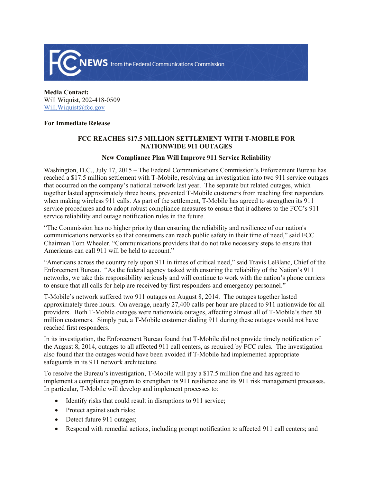

**Media Contact:**  Will Wiquist, 202-418-0509 Will.Wiquist@fcc.gov

## **For Immediate Release**

## **FCC REACHES \$17.5 MILLION SETTLEMENT WITH T-MOBILE FOR NATIONWIDE 911 OUTAGES**

## **New Compliance Plan Will Improve 911 Service Reliability**

Washington, D.C., July 17, 2015 – The Federal Communications Commission's Enforcement Bureau has reached a \$17.5 million settlement with T-Mobile, resolving an investigation into two 911 service outages that occurred on the company's national network last year. The separate but related outages, which together lasted approximately three hours, prevented T-Mobile customers from reaching first responders when making wireless 911 calls. As part of the settlement, T-Mobile has agreed to strengthen its 911 service procedures and to adopt robust compliance measures to ensure that it adheres to the FCC's 911 service reliability and outage notification rules in the future.

"The Commission has no higher priority than ensuring the reliability and resilience of our nation's communications networks so that consumers can reach public safety in their time of need," said FCC Chairman Tom Wheeler. "Communications providers that do not take necessary steps to ensure that Americans can call 911 will be held to account."

"Americans across the country rely upon 911 in times of critical need," said Travis LeBlanc, Chief of the Enforcement Bureau. "As the federal agency tasked with ensuring the reliability of the Nation's 911 networks, we take this responsibility seriously and will continue to work with the nation's phone carriers to ensure that all calls for help are received by first responders and emergency personnel."

T-Mobile's network suffered two 911 outages on August 8, 2014. The outages together lasted approximately three hours. On average, nearly 27,400 calls per hour are placed to 911 nationwide for all providers. Both T-Mobile outages were nationwide outages, affecting almost all of T-Mobile's then 50 million customers. Simply put, a T-Mobile customer dialing 911 during these outages would not have reached first responders.

In its investigation, the Enforcement Bureau found that T-Mobile did not provide timely notification of the August 8, 2014, outages to all affected 911 call centers, as required by FCC rules. The investigation also found that the outages would have been avoided if T-Mobile had implemented appropriate safeguards in its 911 network architecture.

To resolve the Bureau's investigation, T-Mobile will pay a \$17.5 million fine and has agreed to implement a compliance program to strengthen its 911 resilience and its 911 risk management processes. In particular, T-Mobile will develop and implement processes to:

- Identify risks that could result in disruptions to 911 service;
- Protect against such risks;
- Detect future 911 outages;
- Respond with remedial actions, including prompt notification to affected 911 call centers; and